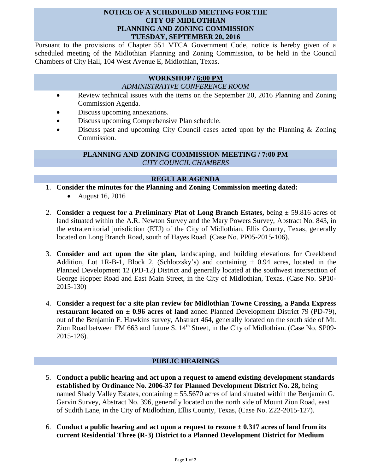### **NOTICE OF A SCHEDULED MEETING FOR THE CITY OF MIDLOTHIAN PLANNING AND ZONING COMMISSION TUESDAY, SEPTEMBER 20, 2016**

Pursuant to the provisions of Chapter 551 VTCA Government Code, notice is hereby given of a scheduled meeting of the Midlothian Planning and Zoning Commission, to be held in the Council Chambers of City Hall, 104 West Avenue E, Midlothian, Texas.

#### **WORKSHOP / 6:00 PM** *ADMINISTRATIVE CONFERENCE ROOM*

- Review technical issues with the items on the September 20, 2016 Planning and Zoning Commission Agenda.
- Discuss upcoming annexations.
- Discuss upcoming Comprehensive Plan schedule.
- Discuss past and upcoming City Council cases acted upon by the Planning & Zoning Commission.

## **PLANNING AND ZONING COMMISSION MEETING / 7:00 PM** *CITY COUNCIL CHAMBERS*

# **REGULAR AGENDA**

- 1. **Consider the minutes for the Planning and Zoning Commission meeting dated:**  August 16, 2016
- 2. **Consider a request for a Preliminary Plat of Long Branch Estates,** being ± 59.816 acres of land situated within the A.R. Newton Survey and the Mary Powers Survey, Abstract No. 843, in the extraterritorial jurisdiction (ETJ) of the City of Midlothian, Ellis County, Texas, generally located on Long Branch Road, south of Hayes Road. (Case No. PP05-2015-106).
- 3. **Consider and act upon the site plan,** landscaping, and building elevations for Creekbend Addition, Lot 1R-B-1, Block 2, (Schlotzsky's) and containing  $\pm$  0.94 acres, located in the Planned Development 12 (PD-12) District and generally located at the southwest intersection of George Hopper Road and East Main Street, in the City of Midlothian, Texas. (Case No. SP10- 2015-130)
- 4. **Consider a request for a site plan review for Midlothian Towne Crossing, a Panda Express restaurant located on ± 0.96 acres of land** zoned Planned Development District 79 (PD-79), out of the Benjamin F. Hawkins survey, Abstract 464, generally located on the south side of Mt. Zion Road between FM 663 and future S. 14<sup>th</sup> Street, in the City of Midlothian. (Case No. SP09-2015-126).

# **PUBLIC HEARINGS**

- 5. **Conduct a public hearing and act upon a request to amend existing development standards established by Ordinance No. 2006-37 for Planned Development District No. 28,** being named Shady Valley Estates, containing  $\pm$  55.5670 acres of land situated within the Benjamin G. Garvin Survey, Abstract No. 396, generally located on the north side of Mount Zion Road, east of Sudith Lane, in the City of Midlothian, Ellis County, Texas, (Case No. Z22-2015-127).
- 6. **Conduct a public hearing and act upon a request to rezone ± 0.317 acres of land from its current Residential Three (R-3) District to a Planned Development District for Medium**